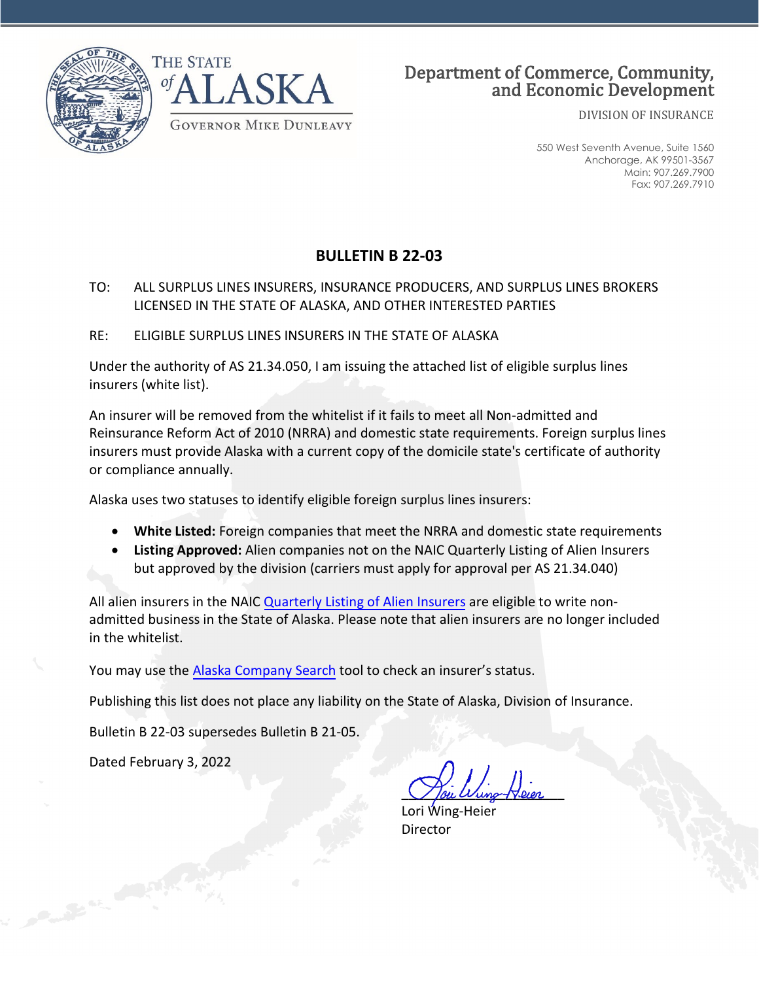

DIVISION OF INSURANCE

550 West Seventh Avenue, Suite 1560 Anchorage, AK 99501-3567 Main: 907.269.7900 Fax: 907.269.7910

## **BULLETIN B 22-03**

## TO: ALL SURPLUS LINES INSURERS, INSURANCE PRODUCERS, AND SURPLUS LINES BROKERS LICENSED IN THE STATE OF ALASKA, AND OTHER INTERESTED PARTIES

RE: ELIGIBLE SURPLUS LINES INSURERS IN THE STATE OF ALASKA

Under the authority of AS 21.34.050, I am issuing the attached list of eligible surplus lines insurers (white list).

An insurer will be removed from the whitelist if it fails to meet all Non-admitted and Reinsurance Reform Act of 2010 (NRRA) and domestic state requirements. Foreign surplus lines insurers must provide Alaska with a current copy of the domicile state's certificate of authority or compliance annually.

Alaska uses two statuses to identify eligible foreign surplus lines insurers:

- **White Listed:** Foreign companies that meet the NRRA and domestic state requirements
- **Listing Approved:** Alien companies not on the NAIC Quarterly Listing of Alien Insurers but approved by the division (carriers must apply for approval per AS 21.34.040)

All alien insurers in the NAIC [Quarterly Listing of Alien Insurers](http://www.naic.org/prod_serv_publications.htm#quarterly_alien) are eligible to write nonadmitted business in the State of Alaska. Please note that alien insurers are no longer included in the whitelist.

You may use the [Alaska Company Search](https://sbs.naic.org/solar-external-lookup/) tool to check an insurer's status.

Publishing this list does not place any liability on the State of Alaska, Division of Insurance.

Bulletin B 22-03 supersedes Bulletin B 21-05.

Dated February 3, 2022

Tou Wung-Heier

Lori Wing-Heier **Director**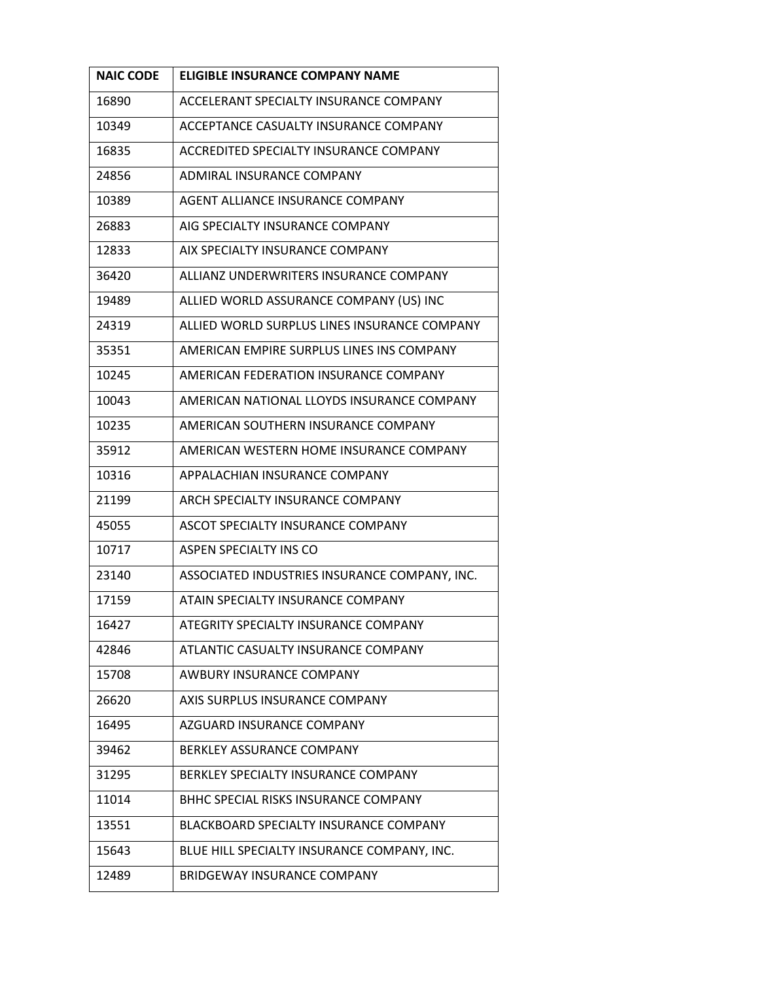| <b>NAIC CODE</b> | <b>ELIGIBLE INSURANCE COMPANY NAME</b>        |
|------------------|-----------------------------------------------|
| 16890            | ACCELERANT SPECIALTY INSURANCE COMPANY        |
| 10349            | ACCEPTANCE CASUALTY INSURANCE COMPANY         |
| 16835            | ACCREDITED SPECIALTY INSURANCE COMPANY        |
| 24856            | ADMIRAL INSURANCE COMPANY                     |
| 10389            | AGENT ALLIANCE INSURANCE COMPANY              |
| 26883            | AIG SPECIALTY INSURANCE COMPANY               |
| 12833            | AIX SPECIALTY INSURANCE COMPANY               |
| 36420            | ALLIANZ UNDERWRITERS INSURANCE COMPANY        |
| 19489            | ALLIED WORLD ASSURANCE COMPANY (US) INC       |
| 24319            | ALLIED WORLD SURPLUS LINES INSURANCE COMPANY  |
| 35351            | AMERICAN EMPIRE SURPLUS LINES INS COMPANY     |
| 10245            | AMERICAN FEDERATION INSURANCE COMPANY         |
| 10043            | AMERICAN NATIONAL LLOYDS INSURANCE COMPANY    |
| 10235            | AMERICAN SOUTHERN INSURANCE COMPANY           |
| 35912            | AMERICAN WESTERN HOME INSURANCE COMPANY       |
| 10316            | APPALACHIAN INSURANCE COMPANY                 |
| 21199            | ARCH SPECIALTY INSURANCE COMPANY              |
| 45055            | ASCOT SPECIALTY INSURANCE COMPANY             |
| 10717            | ASPEN SPECIALTY INS CO                        |
| 23140            | ASSOCIATED INDUSTRIES INSURANCE COMPANY, INC. |
| 17159            | ATAIN SPECIALTY INSURANCE COMPANY             |
| 16427            | ATEGRITY SPECIALTY INSURANCE COMPANY          |
| 42846            | ATLANTIC CASUALTY INSURANCE COMPANY           |
| 15708            | <b>AWBURY INSURANCE COMPANY</b>               |
| 26620            | AXIS SURPLUS INSURANCE COMPANY                |
| 16495            | AZGUARD INSURANCE COMPANY                     |
| 39462            | <b>BERKLEY ASSURANCE COMPANY</b>              |
| 31295            | BERKLEY SPECIALTY INSURANCE COMPANY           |
| 11014            | BHHC SPECIAL RISKS INSURANCE COMPANY          |
| 13551            | <b>BLACKBOARD SPECIALTY INSURANCE COMPANY</b> |
| 15643            | BLUE HILL SPECIALTY INSURANCE COMPANY, INC.   |
| 12489            | <b>BRIDGEWAY INSURANCE COMPANY</b>            |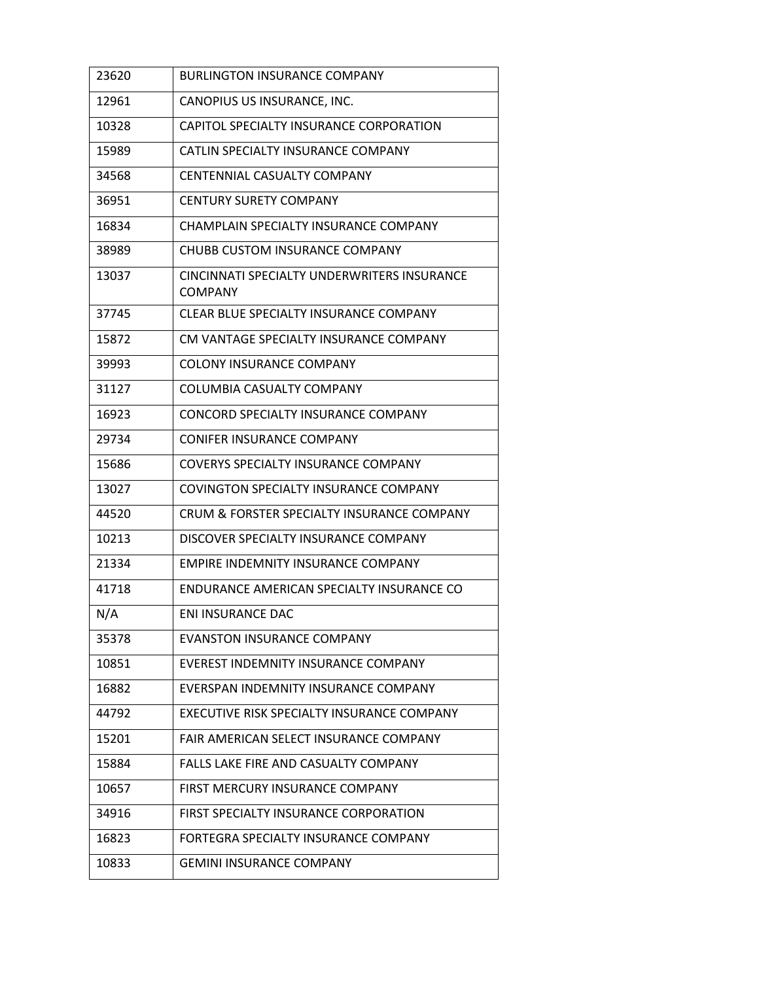| 23620 | <b>BURLINGTON INSURANCE COMPANY</b>                           |
|-------|---------------------------------------------------------------|
| 12961 | CANOPIUS US INSURANCE, INC.                                   |
| 10328 | CAPITOL SPECIALTY INSURANCE CORPORATION                       |
| 15989 | CATLIN SPECIALTY INSURANCE COMPANY                            |
| 34568 | CENTENNIAL CASUALTY COMPANY                                   |
| 36951 | <b>CENTURY SURETY COMPANY</b>                                 |
| 16834 | CHAMPLAIN SPECIALTY INSURANCE COMPANY                         |
| 38989 | <b>CHUBB CUSTOM INSURANCE COMPANY</b>                         |
| 13037 | CINCINNATI SPECIALTY UNDERWRITERS INSURANCE<br><b>COMPANY</b> |
| 37745 | CLEAR BLUE SPECIALTY INSURANCE COMPANY                        |
| 15872 | CM VANTAGE SPECIALTY INSURANCE COMPANY                        |
| 39993 | <b>COLONY INSURANCE COMPANY</b>                               |
| 31127 | COLUMBIA CASUALTY COMPANY                                     |
| 16923 | CONCORD SPECIALTY INSURANCE COMPANY                           |
| 29734 | <b>CONIFER INSURANCE COMPANY</b>                              |
| 15686 | COVERYS SPECIALTY INSURANCE COMPANY                           |
| 13027 | COVINGTON SPECIALTY INSURANCE COMPANY                         |
| 44520 | CRUM & FORSTER SPECIALTY INSURANCE COMPANY                    |
| 10213 | DISCOVER SPECIALTY INSURANCE COMPANY                          |
| 21334 | EMPIRE INDEMNITY INSURANCE COMPANY                            |
| 41718 | ENDURANCE AMERICAN SPECIALTY INSURANCE CO                     |
| N/A   | <b>ENI INSURANCE DAC</b>                                      |
| 35378 | EVANSTON INSURANCE COMPANY                                    |
| 10851 | EVEREST INDEMNITY INSURANCE COMPANY                           |
| 16882 | EVERSPAN INDEMNITY INSURANCE COMPANY                          |
| 44792 | EXECUTIVE RISK SPECIALTY INSURANCE COMPANY                    |
| 15201 | FAIR AMERICAN SELECT INSURANCE COMPANY                        |
| 15884 | FALLS LAKE FIRE AND CASUALTY COMPANY                          |
| 10657 | FIRST MERCURY INSURANCE COMPANY                               |
| 34916 | FIRST SPECIALTY INSURANCE CORPORATION                         |
| 16823 | FORTEGRA SPECIALTY INSURANCE COMPANY                          |
| 10833 | <b>GEMINI INSURANCE COMPANY</b>                               |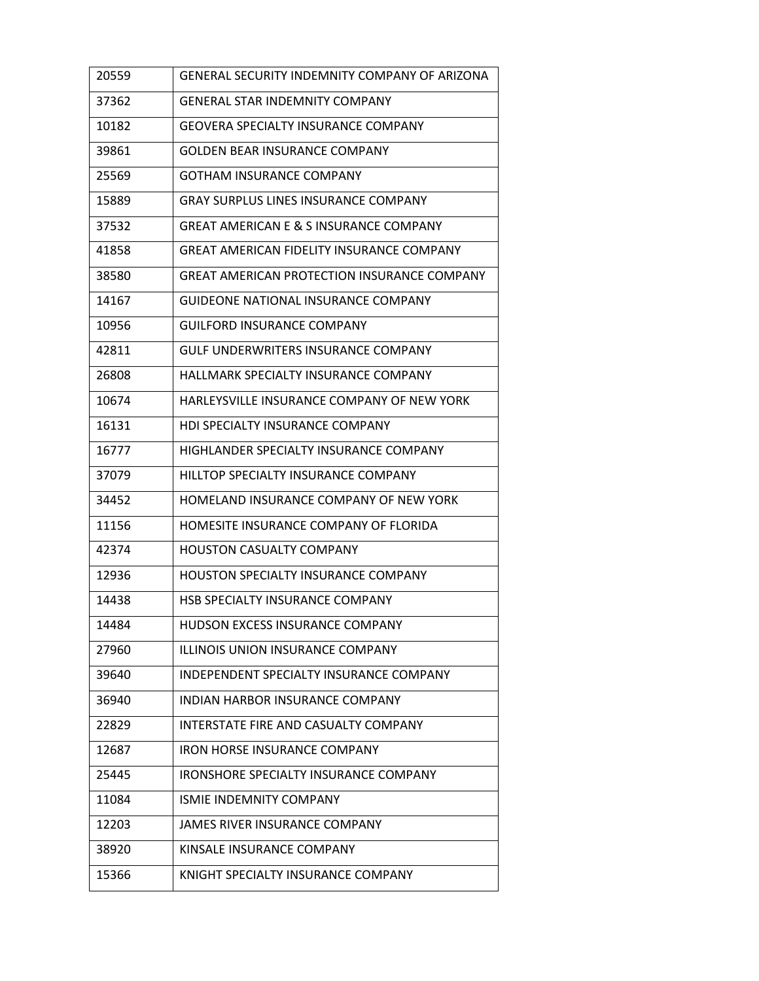| 20559 | GENERAL SECURITY INDEMNITY COMPANY OF ARIZONA     |
|-------|---------------------------------------------------|
| 37362 | <b>GENERAL STAR INDEMNITY COMPANY</b>             |
| 10182 | <b>GEOVERA SPECIALTY INSURANCE COMPANY</b>        |
| 39861 | <b>GOLDEN BEAR INSURANCE COMPANY</b>              |
| 25569 | <b>GOTHAM INSURANCE COMPANY</b>                   |
| 15889 | <b>GRAY SURPLUS LINES INSURANCE COMPANY</b>       |
| 37532 | <b>GREAT AMERICAN E &amp; S INSURANCE COMPANY</b> |
| 41858 | <b>GREAT AMERICAN FIDELITY INSURANCE COMPANY</b>  |
| 38580 | GREAT AMERICAN PROTECTION INSURANCE COMPANY       |
| 14167 | <b>GUIDEONE NATIONAL INSURANCE COMPANY</b>        |
| 10956 | <b>GUILFORD INSURANCE COMPANY</b>                 |
| 42811 | <b>GULF UNDERWRITERS INSURANCE COMPANY</b>        |
| 26808 | HALLMARK SPECIALTY INSURANCE COMPANY              |
| 10674 | HARLEYSVILLE INSURANCE COMPANY OF NEW YORK        |
| 16131 | <b>HDI SPECIALTY INSURANCE COMPANY</b>            |
| 16777 | HIGHLANDER SPECIALTY INSURANCE COMPANY            |
| 37079 | HILLTOP SPECIALTY INSURANCE COMPANY               |
| 34452 | HOMELAND INSURANCE COMPANY OF NEW YORK            |
| 11156 | HOMESITE INSURANCE COMPANY OF FLORIDA             |
| 42374 | <b>HOUSTON CASUALTY COMPANY</b>                   |
| 12936 | <b>HOUSTON SPECIALTY INSURANCE COMPANY</b>        |
| 14438 | <b>HSB SPECIALTY INSURANCE COMPANY</b>            |
| 14484 | HUDSON EXCESS INSURANCE COMPANY                   |
| 27960 | ILLINOIS UNION INSURANCE COMPANY                  |
| 39640 | INDEPENDENT SPECIALTY INSURANCE COMPANY           |
| 36940 | INDIAN HARBOR INSURANCE COMPANY                   |
| 22829 | INTERSTATE FIRE AND CASUALTY COMPANY              |
| 12687 | <b>IRON HORSE INSURANCE COMPANY</b>               |
| 25445 | IRONSHORE SPECIALTY INSURANCE COMPANY             |
| 11084 | <b>ISMIE INDEMNITY COMPANY</b>                    |
| 12203 | JAMES RIVER INSURANCE COMPANY                     |
| 38920 | KINSALE INSURANCE COMPANY                         |
| 15366 | KNIGHT SPECIALTY INSURANCE COMPANY                |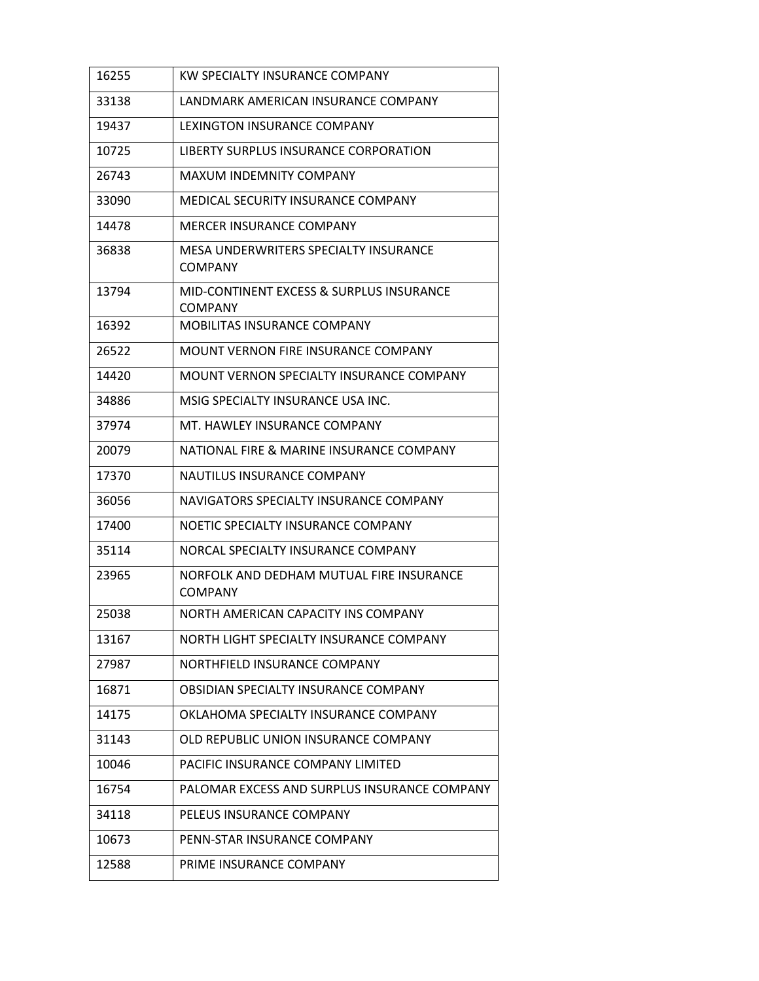| 16255 | KW SPECIALTY INSURANCE COMPANY                             |
|-------|------------------------------------------------------------|
| 33138 | LANDMARK AMERICAN INSURANCE COMPANY                        |
| 19437 | LEXINGTON INSURANCE COMPANY                                |
| 10725 | LIBERTY SURPLUS INSURANCE CORPORATION                      |
| 26743 | <b>MAXUM INDEMNITY COMPANY</b>                             |
| 33090 | MEDICAL SECURITY INSURANCE COMPANY                         |
| 14478 | MERCER INSURANCE COMPANY                                   |
| 36838 | MESA UNDERWRITERS SPECIALTY INSURANCE<br><b>COMPANY</b>    |
| 13794 | MID-CONTINENT EXCESS & SURPLUS INSURANCE<br><b>COMPANY</b> |
| 16392 | MOBILITAS INSURANCE COMPANY                                |
| 26522 | MOUNT VERNON FIRE INSURANCE COMPANY                        |
| 14420 | MOUNT VERNON SPECIALTY INSURANCE COMPANY                   |
| 34886 | MSIG SPECIALTY INSURANCE USA INC.                          |
| 37974 | MT. HAWLEY INSURANCE COMPANY                               |
| 20079 | NATIONAL FIRE & MARINE INSURANCE COMPANY                   |
| 17370 | NAUTILUS INSURANCE COMPANY                                 |
| 36056 | NAVIGATORS SPECIALTY INSURANCE COMPANY                     |
| 17400 | NOETIC SPECIALTY INSURANCE COMPANY                         |
| 35114 | NORCAL SPECIALTY INSURANCE COMPANY                         |
| 23965 | NORFOLK AND DEDHAM MUTUAL FIRE INSURANCE<br><b>COMPANY</b> |
| 25038 | NORTH AMERICAN CAPACITY INS COMPANY                        |
| 13167 | NORTH LIGHT SPECIALTY INSURANCE COMPANY                    |
| 27987 | NORTHFIELD INSURANCE COMPANY                               |
| 16871 | OBSIDIAN SPECIALTY INSURANCE COMPANY                       |
| 14175 | OKLAHOMA SPECIALTY INSURANCE COMPANY                       |
| 31143 | OLD REPUBLIC UNION INSURANCE COMPANY                       |
| 10046 | PACIFIC INSURANCE COMPANY LIMITED                          |
| 16754 | PALOMAR EXCESS AND SURPLUS INSURANCE COMPANY               |
| 34118 | PELEUS INSURANCE COMPANY                                   |
| 10673 | PENN-STAR INSURANCE COMPANY                                |
| 12588 | PRIME INSURANCE COMPANY                                    |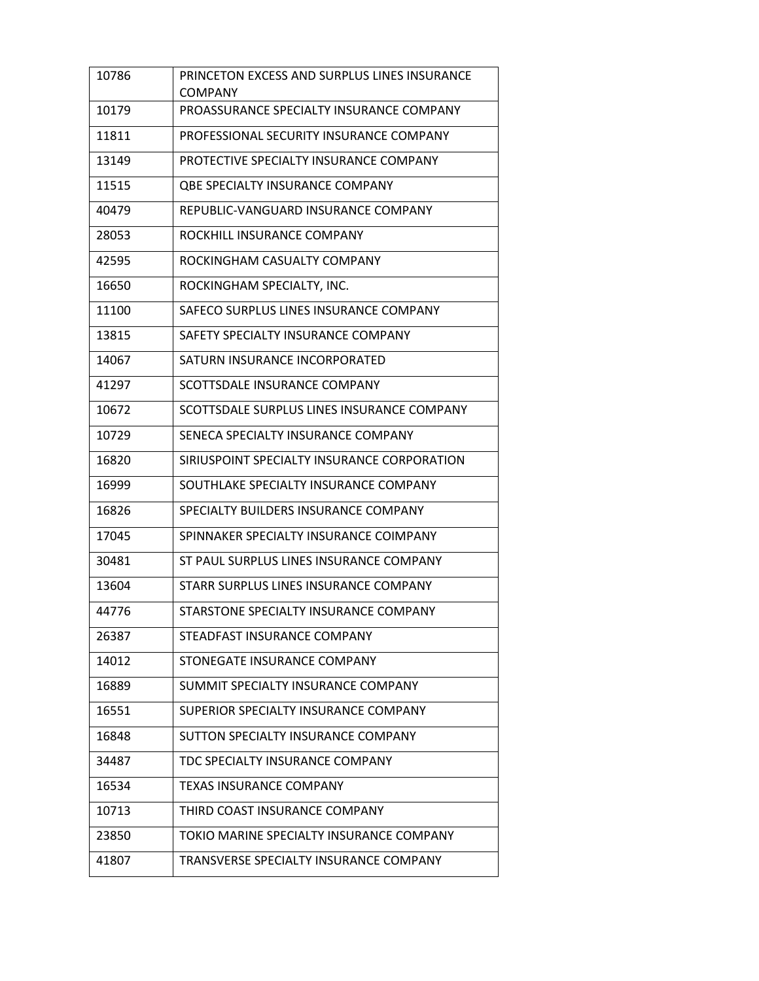| 10786 | PRINCETON EXCESS AND SURPLUS LINES INSURANCE<br><b>COMPANY</b> |
|-------|----------------------------------------------------------------|
| 10179 | PROASSURANCE SPECIALTY INSURANCE COMPANY                       |
| 11811 | PROFESSIONAL SECURITY INSURANCE COMPANY                        |
| 13149 | PROTECTIVE SPECIALTY INSURANCE COMPANY                         |
| 11515 | <b>QBE SPECIALTY INSURANCE COMPANY</b>                         |
| 40479 | REPUBLIC-VANGUARD INSURANCE COMPANY                            |
| 28053 | ROCKHILL INSURANCE COMPANY                                     |
| 42595 | ROCKINGHAM CASUALTY COMPANY                                    |
| 16650 | ROCKINGHAM SPECIALTY, INC.                                     |
| 11100 | SAFECO SURPLUS LINES INSURANCE COMPANY                         |
| 13815 | SAFETY SPECIALTY INSURANCE COMPANY                             |
| 14067 | SATURN INSURANCE INCORPORATED                                  |
| 41297 | SCOTTSDALE INSURANCE COMPANY                                   |
| 10672 | SCOTTSDALE SURPLUS LINES INSURANCE COMPANY                     |
| 10729 | SENECA SPECIALTY INSURANCE COMPANY                             |
| 16820 | SIRIUSPOINT SPECIALTY INSURANCE CORPORATION                    |
| 16999 | SOUTHLAKE SPECIALTY INSURANCE COMPANY                          |
| 16826 | SPECIALTY BUILDERS INSURANCE COMPANY                           |
| 17045 | SPINNAKER SPECIALTY INSURANCE COIMPANY                         |
| 30481 | ST PAUL SURPLUS LINES INSURANCE COMPANY                        |
| 13604 | STARR SURPLUS LINES INSURANCE COMPANY                          |
| 44776 | STARSTONE SPECIALTY INSURANCE COMPANY                          |
| 26387 | STEADFAST INSURANCE COMPANY                                    |
| 14012 | STONEGATE INSURANCE COMPANY                                    |
| 16889 | SUMMIT SPECIALTY INSURANCE COMPANY                             |
| 16551 | SUPERIOR SPECIALTY INSURANCE COMPANY                           |
| 16848 | SUTTON SPECIALTY INSURANCE COMPANY                             |
| 34487 | TDC SPECIALTY INSURANCE COMPANY                                |
| 16534 | <b>TEXAS INSURANCE COMPANY</b>                                 |
| 10713 | THIRD COAST INSURANCE COMPANY                                  |
| 23850 | TOKIO MARINE SPECIALTY INSURANCE COMPANY                       |
| 41807 | TRANSVERSE SPECIALTY INSURANCE COMPANY                         |